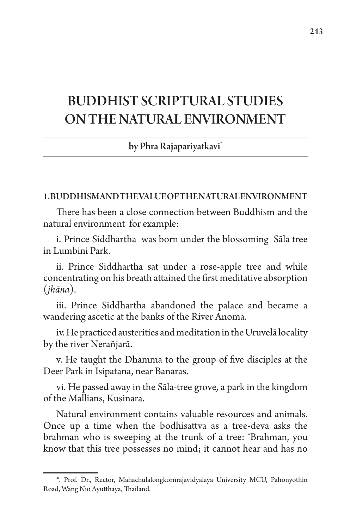# BUDDHIST SCRIPTURAL STUDIES ON THE NATURAL ENVIRONMENT

by Phra Rajapariyatkavi\*

#### 1. BUDDHISM AND THE VALUE OF THE NATURAL ENVIRONMENT

There has been a close connection between Buddhism and the natural environment for example:

i. Prince Siddhartha was born under the blossoming Sāla tree in Lumbini Park.

ii. Prince Siddhartha sat under a rose-apple tree and while concentrating on his breath attained the first meditative absorption (*jhāna*).

iii. Prince Siddhartha abandoned the palace and became a wandering ascetic at the banks of the River Anomā.

iv. He practiced austerities and meditation in the Uruvelā locality by the river Nerañjarā.

v. He taught the Dhamma to the group of five disciples at the Deer Park in Isipatana, near Banaras.

vi. He passed away in the Sāla-tree grove, a park in the kingdom of the Mallians, Kusinara.

Natural environment contains valuable resources and animals. Once up a time when the bodhisattva as a tree-deva asks the brahman who is sweeping at the trunk of a tree: 'Brahman, you know that this tree possesses no mind; it cannot hear and has no

<sup>\*.</sup> Prof. Dr., Rector, Mahachulalongkornrajavidyalaya University MCU, Pahonyothin Road, Wang Nio Ayutthaya, Thailand.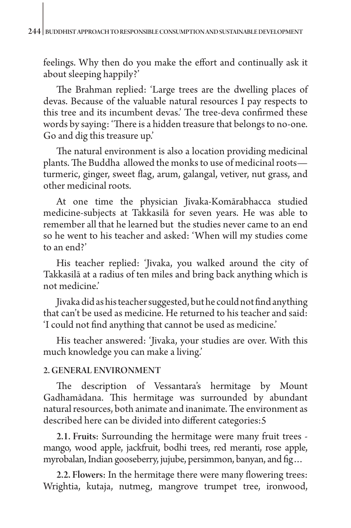feelings. Why then do you make the effort and continually ask it about sleeping happily?'

The Brahman replied: 'Large trees are the dwelling places of devas. Because of the valuable natural resources I pay respects to this tree and its incumbent devas.' The tree-deva confirmed these words by saying: 'There is a hidden treasure that belongs to no-one. Go and dig this treasure up.'

The natural environment is also a location providing medicinal plants. The Buddha allowed the monks to use of medicinal roots turmeric, ginger, sweet flag, arum, galangal, vetiver, nut grass, and other medicinal roots.

At one time the physician Jivaka-Komārabhacca studied medicine-subjects at Takkasilā for seven years. He was able to remember all that he learned but the studies never came to an end so he went to his teacher and asked: 'When will my studies come to an end?'

His teacher replied: 'Jivaka, you walked around the city of Takkasilā at a radius of ten miles and bring back anything which is not medicine.'

Jivaka did as his teacher suggested, but he could not find anything that can't be used as medicine. He returned to his teacher and said: 'I could not find anything that cannot be used as medicine.'

His teacher answered: 'Jivaka, your studies are over. With this much knowledge you can make a living.'

## 2. GENERAL ENVIRONMENT

The description of Vessantara's hermitage by Mount Gadhamādana. This hermitage was surrounded by abundant natural resources, both animate and inanimate. The environment as described here can be divided into different categories:5

2.1. Fruits: Surrounding the hermitage were many fruit trees mango, wood apple, jackfruit, bodhi trees, red meranti, rose apple, myrobalan, Indian gooseberry, jujube, persimmon, banyan, and fig…

2.2. Flowers: In the hermitage there were many flowering trees: Wrightia, kutaja, nutmeg, mangrove trumpet tree, ironwood,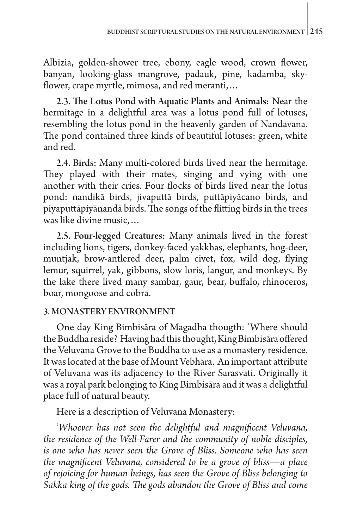Albizia, golden-shower tree, ebony, eagle wood, crown flower, banyan, looking-glass mangrove, padauk, pine, kadamba, skyflower, crape myrtle, mimosa, and red meranti,…

2.3. The Lotus Pond with Aquatic Plants and Animals: Near the hermitage in a delightful area was a lotus pond full of lotuses, resembling the lotus pond in the heavenly garden of Nandavana. The pond contained three kinds of beautiful lotuses: green, white and red.

2.4. Birds: Many multi-colored birds lived near the hermitage. They played with their mates, singing and vying with one another with their cries. Four flocks of birds lived near the lotus pond: nandikā birds, jivaputtā birds, puttāpiyācano birds, and piyaputtāpiyānandā birds. The songs of the flitting birds in the trees was like divine music,…

2.5. Four-legged Creatures: Many animals lived in the forest including lions, tigers, donkey-faced yakkhas, elephants, hog-deer, muntjak, brow-antlered deer, palm civet, fox, wild dog, flying lemur, squirrel, yak, gibbons, slow loris, langur, and monkeys. By the lake there lived many sambar, gaur, bear, buffalo, rhinoceros, boar, mongoose and cobra.

## 3. MONASTERY ENVIRONMENT

One day King Bimbisāra of Magadha thougth: 'Where should the Buddha reside? Having had this thought, King Bimbisāra offered the Veluvana Grove to the Buddha to use as a monastery residence. It was located at the base of Mount Vebhāra. An important attribute of Veluvana was its adjacency to the River Sarasvati. Originally it was a royal park belonging to King Bimbisāra and it was a delightful place full of natural beauty.

Here is a description of Veluvana Monastery:

'*Whoever has not seen the delightful and magnificent Veluvana, the residence of the Well-Farer and the community of noble disciples, is one who has never seen the Grove of Bliss. Someone who has seen the magnificent Veluvana, considered to be a grove of bliss—a place of rejoicing for human beings, has seen the Grove of Bliss belonging to Sakka king of the gods. The gods abandon the Grove of Bliss and come*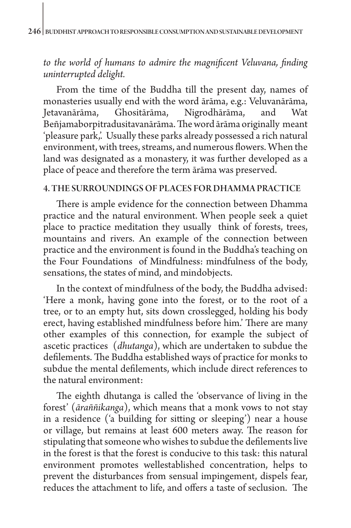# *to the world of humans to admire the magnificent Veluvana, finding uninterrupted delight.*

From the time of the Buddha till the present day, names of monasteries usually end with the word ārāma, e.g.: Veluvanārāma, Jetavanārāma, Ghositārāma, Nigrodhārāma, and Wat Beñjamaborpitradusitavanārāma. The word ārāma originally meant 'pleasure park,'. Usually these parks already possessed a rich natural environment, with trees, streams, and numerous flowers. When the land was designated as a monastery, it was further developed as a place of peace and therefore the term ārāma was preserved.

### 4. THE SURROUNDINGS OF PLACES FOR DHAMMA PRACTICE

There is ample evidence for the connection between Dhamma practice and the natural environment. When people seek a quiet place to practice meditation they usually think of forests, trees, mountains and rivers. An example of the connection between practice and the environment is found in the Buddha's teaching on the Four Foundations of Mindfulness: mindfulness of the body, sensations, the states of mind, and mindobjects.

In the context of mindfulness of the body, the Buddha advised: 'Here a monk, having gone into the forest, or to the root of a tree, or to an empty hut, sits down crosslegged, holding his body erect, having established mindfulness before him.' There are many other examples of this connection, for example the subject of ascetic practices (*dhutanga*), which are undertaken to subdue the defilements. The Buddha established ways of practice for monks to subdue the mental defilements, which include direct references to the natural environment:

The eighth dhutanga is called the 'observance of living in the forest' (*āraññikanga*), which means that a monk vows to not stay in a residence ('a building for sitting or sleeping') near a house or village, but remains at least 600 meters away. The reason for stipulating that someone who wishes to subdue the defilements live in the forest is that the forest is conducive to this task: this natural environment promotes wellestablished concentration, helps to prevent the disturbances from sensual impingement, dispels fear, reduces the attachment to life, and offers a taste of seclusion. The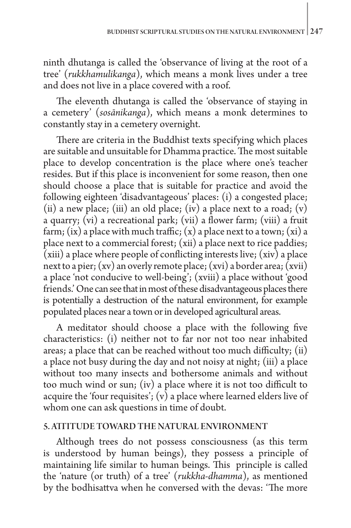ninth dhutanga is called the 'observance of living at the root of a tree' (*rukkhamulikanga*), which means a monk lives under a tree and does not live in a place covered with a roof.

The eleventh dhutanga is called the 'observance of staying in a cemetery' (*sosānikanga*), which means a monk determines to constantly stay in a cemetery overnight.

There are criteria in the Buddhist texts specifying which places are suitable and unsuitable for Dhamma practice. The most suitable place to develop concentration is the place where one's teacher resides. But if this place is inconvenient for some reason, then one should choose a place that is suitable for practice and avoid the following eighteen 'disadvantageous' places: (i) a congested place; (ii) a new place; (iii) an old place; (iv) a place next to a road;  $(v)$ a quarry; (vi) a recreational park; (vii) a flower farm; (viii) a fruit farm; (ix) a place with much traffic;  $(x)$  a place next to a town;  $(xi)$  a place next to a commercial forest; (xii) a place next to rice paddies;  $(xiii)$  a place where people of conflicting interests live;  $(xiv)$  a place next to a pier; (xv) an overly remote place; (xvi) a border area; (xvii) a place 'not conducive to well-being'; (xviii) a place without 'good friends.' One can see that in most of these disadvantageous places there is potentially a destruction of the natural environment, for example populated places near a town or in developed agricultural areas.

A meditator should choose a place with the following five characteristics: (i) neither not to far nor not too near inhabited areas; a place that can be reached without too much difficulty; (ii) a place not busy during the day and not noisy at night; (iii) a place without too many insects and bothersome animals and without too much wind or sun; (iv) a place where it is not too difficult to acquire the 'four requisites';  $(v)$  a place where learned elders live of whom one can ask questions in time of doubt.

## 5. ATTITUDE TOWARD THE NATURAL ENVIRONMENT

Although trees do not possess consciousness (as this term is understood by human beings), they possess a principle of maintaining life similar to human beings. This principle is called the 'nature (or truth) of a tree' (*rukkha-dhamma*), as mentioned by the bodhisattva when he conversed with the devas: 'The more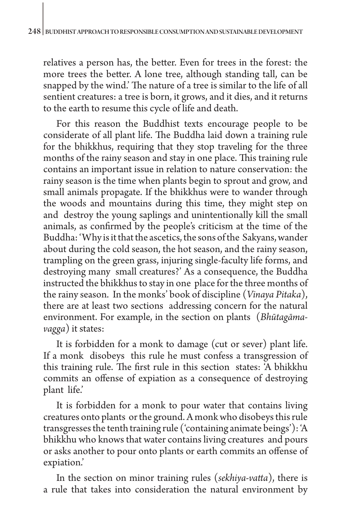relatives a person has, the better. Even for trees in the forest: the more trees the better. A lone tree, although standing tall, can be snapped by the wind.' The nature of a tree is similar to the life of all sentient creatures: a tree is born, it grows, and it dies, and it returns to the earth to resume this cycle of life and death.

For this reason the Buddhist texts encourage people to be considerate of all plant life. The Buddha laid down a training rule for the bhikkhus, requiring that they stop traveling for the three months of the rainy season and stay in one place. This training rule contains an important issue in relation to nature conservation: the rainy season is the time when plants begin to sprout and grow, and small animals propagate. If the bhikkhus were to wander through the woods and mountains during this time, they might step on and destroy the young saplings and unintentionally kill the small animals, as confirmed by the people's criticism at the time of the Buddha: 'Why is it that the ascetics, the sons of the Sakyans, wander about during the cold season, the hot season, and the rainy season, trampling on the green grass, injuring single-faculty life forms, and destroying many small creatures?' As a consequence, the Buddha instructed the bhikkhus to stay in one place for the three months of the rainy season. In the monks' book of discipline (*Vinaya Pitaka*), there are at least two sections addressing concern for the natural environment. For example, in the section on plants (*Bhūtagāmavagga*) it states:

It is forbidden for a monk to damage (cut or sever) plant life. If a monk disobeys this rule he must confess a transgression of this training rule. The first rule in this section states: 'A bhikkhu commits an offense of expiation as a consequence of destroying plant life.'

It is forbidden for a monk to pour water that contains living creatures onto plants or the ground. A monk who disobeys this rule transgresses the tenth training rule ('containing animate beings'): 'A bhikkhu who knows that water contains living creatures and pours or asks another to pour onto plants or earth commits an offense of expiation.'

In the section on minor training rules (*sekhiya-vatta*), there is a rule that takes into consideration the natural environment by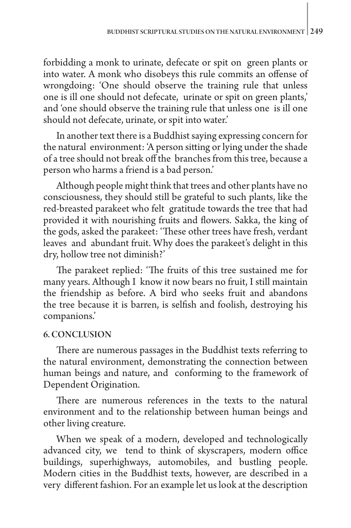forbidding a monk to urinate, defecate or spit on green plants or into water. A monk who disobeys this rule commits an offense of wrongdoing: 'One should observe the training rule that unless one is ill one should not defecate, urinate or spit on green plants,' and 'one should observe the training rule that unless one is ill one should not defecate, urinate, or spit into water.'

In another text there is a Buddhist saying expressing concern for the natural environment: 'A person sitting or lying under the shade of a tree should not break off the branches from this tree, because a person who harms a friend is a bad person.'

Although people might think that trees and other plants have no consciousness, they should still be grateful to such plants, like the red-breasted parakeet who felt gratitude towards the tree that had provided it with nourishing fruits and flowers. Sakka, the king of the gods, asked the parakeet: 'These other trees have fresh, verdant leaves and abundant fruit. Why does the parakeet's delight in this dry, hollow tree not diminish?'

The parakeet replied: 'The fruits of this tree sustained me for many years. Although I know it now bears no fruit, I still maintain the friendship as before. A bird who seeks fruit and abandons the tree because it is barren, is selfish and foolish, destroying his companions.'

## 6. CONCLUSION

There are numerous passages in the Buddhist texts referring to the natural environment, demonstrating the connection between human beings and nature, and conforming to the framework of Dependent Origination.

There are numerous references in the texts to the natural environment and to the relationship between human beings and other living creature.

When we speak of a modern, developed and technologically advanced city, we tend to think of skyscrapers, modern office buildings, superhighways, automobiles, and bustling people. Modern cities in the Buddhist texts, however, are described in a very different fashion. For an example let us look at the description